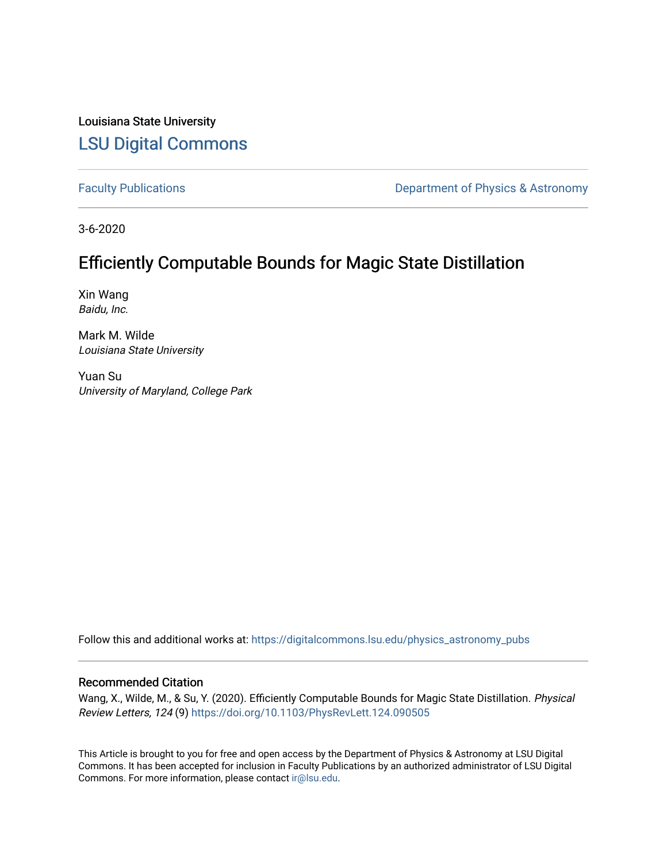Louisiana State University [LSU Digital Commons](https://digitalcommons.lsu.edu/)

[Faculty Publications](https://digitalcommons.lsu.edu/physics_astronomy_pubs) **Exercise 2 and Table 2 and Table 2 and Table 2 and Table 2 and Table 2 and Table 2 and Table 2 and Table 2 and Table 2 and Table 2 and Table 2 and Table 2 and Table 2 and Table 2 and Table 2 and Table** 

3-6-2020

## Efficiently Computable Bounds for Magic State Distillation

Xin Wang Baidu, Inc.

Mark M. Wilde Louisiana State University

Yuan Su University of Maryland, College Park

Follow this and additional works at: [https://digitalcommons.lsu.edu/physics\\_astronomy\\_pubs](https://digitalcommons.lsu.edu/physics_astronomy_pubs?utm_source=digitalcommons.lsu.edu%2Fphysics_astronomy_pubs%2F5605&utm_medium=PDF&utm_campaign=PDFCoverPages) 

## Recommended Citation

Wang, X., Wilde, M., & Su, Y. (2020). Efficiently Computable Bounds for Magic State Distillation. Physical Review Letters, 124 (9) <https://doi.org/10.1103/PhysRevLett.124.090505>

This Article is brought to you for free and open access by the Department of Physics & Astronomy at LSU Digital Commons. It has been accepted for inclusion in Faculty Publications by an authorized administrator of LSU Digital Commons. For more information, please contact [ir@lsu.edu](mailto:ir@lsu.edu).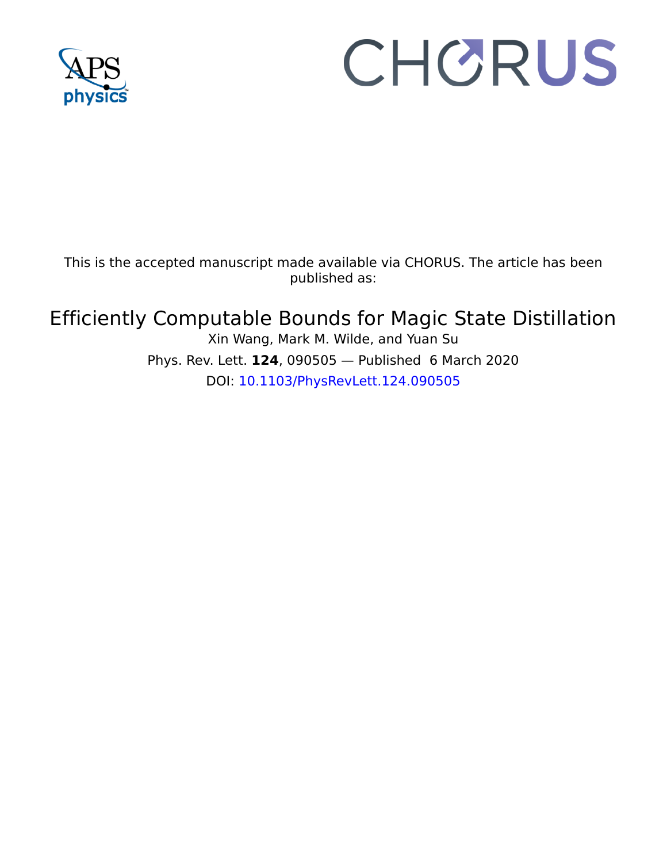

# CHORUS

This is the accepted manuscript made available via CHORUS. The article has been published as:

## Efficiently Computable Bounds for Magic State Distillation

Xin Wang, Mark M. Wilde, and Yuan Su Phys. Rev. Lett. **124**, 090505 — Published 6 March 2020 DOI: [10.1103/PhysRevLett.124.090505](http://dx.doi.org/10.1103/PhysRevLett.124.090505)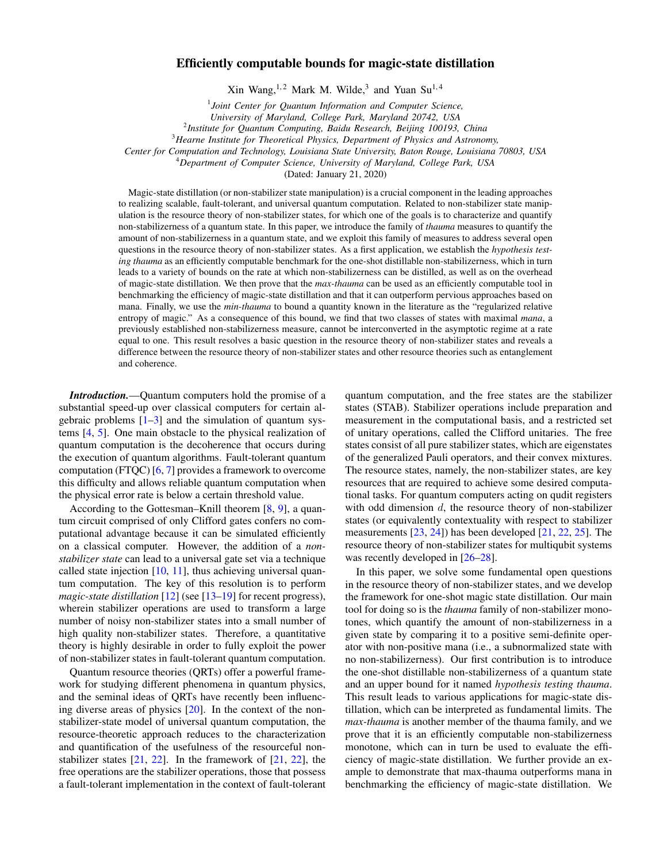### Efficiently computable bounds for magic-state distillation

Xin Wang,<sup>1,2</sup> Mark M. Wilde,<sup>3</sup> and Yuan Su<sup>1,4</sup>

1 *Joint Center for Quantum Information and Computer Science,*

*University of Maryland, College Park, Maryland 20742, USA*

2 *Institute for Quantum Computing, Baidu Research, Beijing 100193, China*

<sup>3</sup>*Hearne Institute for Theoretical Physics, Department of Physics and Astronomy,*

*Center for Computation and Technology, Louisiana State University, Baton Rouge, Louisiana 70803, USA*

<sup>4</sup>*Department of Computer Science, University of Maryland, College Park, USA*

(Dated: January 21, 2020)

Magic-state distillation (or non-stabilizer state manipulation) is a crucial component in the leading approaches to realizing scalable, fault-tolerant, and universal quantum computation. Related to non-stabilizer state manipulation is the resource theory of non-stabilizer states, for which one of the goals is to characterize and quantify non-stabilizerness of a quantum state. In this paper, we introduce the family of *thauma* measures to quantify the amount of non-stabilizerness in a quantum state, and we exploit this family of measures to address several open questions in the resource theory of non-stabilizer states. As a first application, we establish the *hypothesis testing thauma* as an efficiently computable benchmark for the one-shot distillable non-stabilizerness, which in turn leads to a variety of bounds on the rate at which non-stabilizerness can be distilled, as well as on the overhead of magic-state distillation. We then prove that the *max-thauma* can be used as an efficiently computable tool in benchmarking the efficiency of magic-state distillation and that it can outperform pervious approaches based on mana. Finally, we use the *min-thauma* to bound a quantity known in the literature as the "regularized relative entropy of magic." As a consequence of this bound, we find that two classes of states with maximal *mana*, a previously established non-stabilizerness measure, cannot be interconverted in the asymptotic regime at a rate equal to one. This result resolves a basic question in the resource theory of non-stabilizer states and reveals a difference between the resource theory of non-stabilizer states and other resource theories such as entanglement and coherence.

*Introduction.*—Quantum computers hold the promise of a substantial speed-up over classical computers for certain algebraic problems  $[1-3]$  $[1-3]$  and the simulation of quantum systems [\[4,](#page-6-2) [5\]](#page-6-3). One main obstacle to the physical realization of quantum computation is the decoherence that occurs during the execution of quantum algorithms. Fault-tolerant quantum computation (FTQC) [\[6,](#page-6-4) [7\]](#page-6-5) provides a framework to overcome this difficulty and allows reliable quantum computation when the physical error rate is below a certain threshold value.

According to the Gottesman–Knill theorem [\[8,](#page-6-6) [9\]](#page-6-7), a quantum circuit comprised of only Clifford gates confers no computational advantage because it can be simulated efficiently on a classical computer. However, the addition of a *nonstabilizer state* can lead to a universal gate set via a technique called state injection  $[10, 11]$  $[10, 11]$  $[10, 11]$ , thus achieving universal quantum computation. The key of this resolution is to perform *magic-state distillation* [\[12\]](#page-6-10) (see [\[13–](#page-6-11)[19\]](#page-6-12) for recent progress), wherein stabilizer operations are used to transform a large number of noisy non-stabilizer states into a small number of high quality non-stabilizer states. Therefore, a quantitative theory is highly desirable in order to fully exploit the power of non-stabilizer states in fault-tolerant quantum computation.

Quantum resource theories (QRTs) offer a powerful framework for studying different phenomena in quantum physics, and the seminal ideas of QRTs have recently been influencing diverse areas of physics [\[20\]](#page-6-13). In the context of the nonstabilizer-state model of universal quantum computation, the resource-theoretic approach reduces to the characterization and quantification of the usefulness of the resourceful nonstabilizer states  $[21, 22]$  $[21, 22]$  $[21, 22]$ . In the framework of  $[21, 22]$ , the free operations are the stabilizer operations, those that possess a fault-tolerant implementation in the context of fault-tolerant

quantum computation, and the free states are the stabilizer states (STAB). Stabilizer operations include preparation and measurement in the computational basis, and a restricted set of unitary operations, called the Clifford unitaries. The free states consist of all pure stabilizer states, which are eigenstates of the generalized Pauli operators, and their convex mixtures. The resource states, namely, the non-stabilizer states, are key resources that are required to achieve some desired computational tasks. For quantum computers acting on qudit registers with odd dimension  $d$ , the resource theory of non-stabilizer states (or equivalently contextuality with respect to stabilizer measurements [\[23,](#page-6-16) [24\]](#page-6-17)) has been developed [\[21,](#page-6-14) [22,](#page-6-15) [25\]](#page-6-18). The resource theory of non-stabilizer states for multiqubit systems was recently developed in  $[26-28]$  $[26-28]$ .

In this paper, we solve some fundamental open questions in the resource theory of non-stabilizer states, and we develop the framework for one-shot magic state distillation. Our main tool for doing so is the *thauma* family of non-stabilizer monotones, which quantify the amount of non-stabilizerness in a given state by comparing it to a positive semi-definite operator with non-positive mana (i.e., a subnormalized state with no non-stabilizerness). Our first contribution is to introduce the one-shot distillable non-stabilizerness of a quantum state and an upper bound for it named *hypothesis testing thauma*. This result leads to various applications for magic-state distillation, which can be interpreted as fundamental limits. The *max-thauma* is another member of the thauma family, and we prove that it is an efficiently computable non-stabilizerness monotone, which can in turn be used to evaluate the efficiency of magic-state distillation. We further provide an example to demonstrate that max-thauma outperforms mana in benchmarking the efficiency of magic-state distillation. We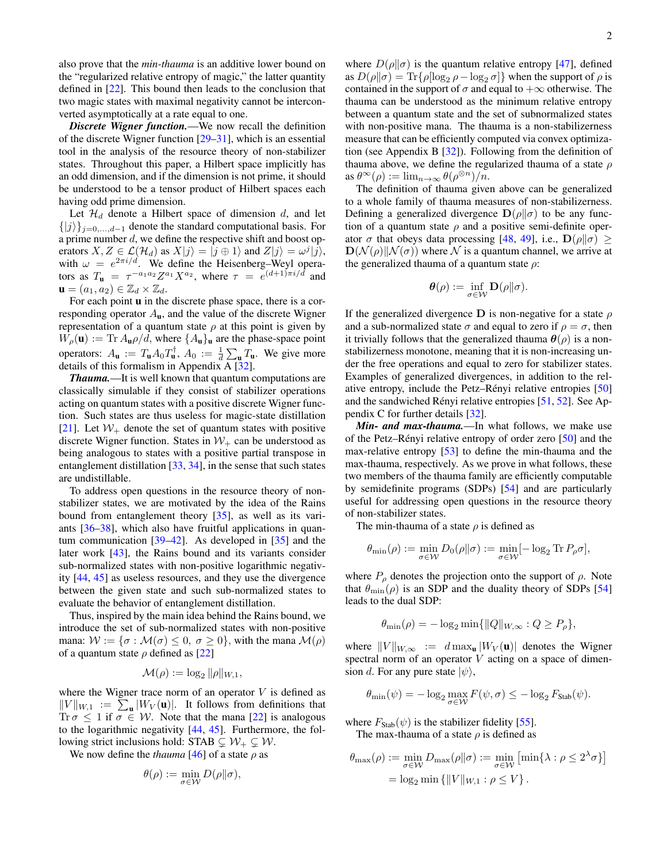also prove that the *min-thauma* is an additive lower bound on the "regularized relative entropy of magic," the latter quantity defined in [\[22\]](#page-6-15). This bound then leads to the conclusion that two magic states with maximal negativity cannot be interconverted asymptotically at a rate equal to one.

*Discrete Wigner function.*—We now recall the definition of the discrete Wigner function [\[29–](#page-6-21)[31\]](#page-6-22), which is an essential tool in the analysis of the resource theory of non-stabilizer states. Throughout this paper, a Hilbert space implicitly has an odd dimension, and if the dimension is not prime, it should be understood to be a tensor product of Hilbert spaces each having odd prime dimension.

Let  $\mathcal{H}_d$  denote a Hilbert space of dimension  $d$ , and let  $\{|j\rangle\}_{j=0,\ldots,d-1}$  denote the standard computational basis. For a prime number  $d$ , we define the respective shift and boost operators  $X, Z \in \mathcal{L}(\mathcal{H}_d)$  as  $X|j\rangle = |j \oplus 1\rangle$  and  $Z|j\rangle = \omega^j|j\rangle$ , with  $\omega = e^{2\pi i/d}$ . We define the Heisenberg–Weyl operators as  $T_{\mathbf{u}} = \tau^{-a_1 a_2} Z^{a_1} X^{a_2}$ , where  $\tau = e^{(d+1)\pi i/d}$  and  $\mathbf{u} = (a_1, a_2) \in \mathbb{Z}_d \times \mathbb{Z}_d.$ 

For each point **u** in the discrete phase space, there is a corresponding operator  $A_{\bf{u}}$ , and the value of the discrete Wigner representation of a quantum state  $\rho$  at this point is given by  $W_{\rho}(\mathbf{u}) := \text{Tr} A_{\mathbf{u}} \rho / d$ , where  $\{A_{\mathbf{u}}\}_{\mathbf{u}}$  are the phase-space point operators:  $A_{\mathbf{u}} := T_{\mathbf{u}} A_0 T_{\mathbf{u}}^{\dagger}, A_0 := \frac{1}{d} \sum_{\mathbf{u}} T_{\mathbf{u}}.$  We give more details of this formalism in Appendix  $\overline{A}$  [\[32\]](#page-6-23).

*Thauma.*—It is well known that quantum computations are classically simulable if they consist of stabilizer operations acting on quantum states with a positive discrete Wigner function. Such states are thus useless for magic-state distillation [\[21\]](#page-6-14). Let  $W_+$  denote the set of quantum states with positive discrete Wigner function. States in  $W_+$  can be understood as being analogous to states with a positive partial transpose in entanglement distillation [\[33,](#page-7-0) [34\]](#page-7-1), in the sense that such states are undistillable.

To address open questions in the resource theory of nonstabilizer states, we are motivated by the idea of the Rains bound from entanglement theory [\[35\]](#page-7-2), as well as its variants [\[36–](#page-7-3)[38\]](#page-7-4), which also have fruitful applications in quantum communication [\[39–](#page-7-5)[42\]](#page-7-6). As developed in [\[35\]](#page-7-2) and the later work [\[43\]](#page-7-7), the Rains bound and its variants consider sub-normalized states with non-positive logarithmic negativity [\[44,](#page-7-8) [45\]](#page-7-9) as useless resources, and they use the divergence between the given state and such sub-normalized states to evaluate the behavior of entanglement distillation.

Thus, inspired by the main idea behind the Rains bound, we introduce the set of sub-normalized states with non-positive mana:  $W := \{\sigma : \mathcal{M}(\sigma) \leq 0, \sigma \geq 0\}$ , with the mana  $\mathcal{M}(\rho)$ of a quantum state  $\rho$  defined as [\[22\]](#page-6-15)

$$
\mathcal{M}(\rho):=\log_2\|\rho\|_{W,1},
$$

where the Wigner trace norm of an operator  $V$  is defined as  $||V||_{W,1} := \sum_{\mathbf{u}} |W_V(\mathbf{u})|$ . It follows from definitions that Tr  $\sigma \leq 1$  if  $\sigma \in W$ . Note that the mana [\[22\]](#page-6-15) is analogous to the logarithmic negativity [\[44,](#page-7-8) [45\]](#page-7-9). Furthermore, the following strict inclusions hold: STAB  $\subseteq W_+ \subseteq W$ .

We now define the *thauma* [\[46\]](#page-7-10) of a state  $\rho$  as

$$
\theta(\rho):=\min_{\sigma\in\mathcal{W}}D(\rho\|\sigma),
$$

where  $D(\rho||\sigma)$  is the quantum relative entropy [\[47\]](#page-7-11), defined as  $D(\rho||\sigma) = \text{Tr}\{\rho[\log_2 \rho - \log_2 \sigma]\}\$  when the support of  $\rho$  is contained in the support of  $\sigma$  and equal to  $+\infty$  otherwise. The thauma can be understood as the minimum relative entropy between a quantum state and the set of subnormalized states with non-positive mana. The thauma is a non-stabilizerness measure that can be efficiently computed via convex optimization (see Appendix B [\[32\]](#page-6-23)). Following from the definition of thauma above, we define the regularized thauma of a state  $\rho$ as  $\theta^{\infty}(\rho) := \lim_{n \to \infty} \theta(\rho^{\otimes n})/n$ .

The definition of thauma given above can be generalized to a whole family of thauma measures of non-stabilizerness. Defining a generalized divergence  $D(\rho||\sigma)$  to be any function of a quantum state  $\rho$  and a positive semi-definite operator  $\sigma$  that obeys data processing [\[48,](#page-7-12) [49\]](#page-7-13), i.e.,  $\mathbf{D}(\rho||\sigma) \geq$  $\mathbf{D}(\mathcal{N}(\rho) \| \mathcal{N}(\sigma))$  where N is a quantum channel, we arrive at the generalized thauma of a quantum state  $\rho$ :

$$
\boldsymbol{\theta}(\rho) := \inf_{\sigma \in \mathcal{W}} \mathbf{D}(\rho \| \sigma).
$$

If the generalized divergence **D** is non-negative for a state  $\rho$ and a sub-normalized state  $\sigma$  and equal to zero if  $\rho = \sigma$ , then it trivially follows that the generalized thauma  $\theta(\rho)$  is a nonstabilizerness monotone, meaning that it is non-increasing under the free operations and equal to zero for stabilizer states. Examples of generalized divergences, in addition to the rel-ative entropy, include the Petz–Rényi relative entropies [[50\]](#page-7-14) and the sandwiched Rényi relative entropies  $[51, 52]$  $[51, 52]$  $[51, 52]$  $[51, 52]$ . See Appendix C for further details [\[32\]](#page-6-23).

*Min- and max-thauma.*—In what follows, we make use of the Petz–Rényi relative entropy of order zero  $[50]$  $[50]$  and the max-relative entropy [\[53\]](#page-7-17) to define the min-thauma and the max-thauma, respectively. As we prove in what follows, these two members of the thauma family are efficiently computable by semidefinite programs (SDPs) [\[54\]](#page-7-18) and are particularly useful for addressing open questions in the resource theory of non-stabilizer states.

The min-thauma of a state  $\rho$  is defined as

$$
\theta_{\min}(\rho) := \min_{\sigma \in \mathcal{W}} D_0(\rho || \sigma) := \min_{\sigma \in \mathcal{W}} [-\log_2 \text{Tr} P_{\rho} \sigma],
$$

where  $P_{\rho}$  denotes the projection onto the support of  $\rho$ . Note that  $\theta_{\min}(\rho)$  is an SDP and the duality theory of SDPs [\[54\]](#page-7-18) leads to the dual SDP:

$$
\theta_{\min}(\rho) = -\log_2 \min\{\|Q\|_{W,\infty} : Q \ge P_\rho\},\
$$

where  $||V||_{W,\infty}$  := d max<sub>u</sub>  $|W_V(u)|$  denotes the Wigner spectral norm of an operator  $V$  acting on a space of dimension d. For any pure state  $|\psi\rangle$ ,

$$
\theta_{\min}(\psi) = -\log_2 \max_{\sigma \in \mathcal{W}} F(\psi, \sigma) \leq -\log_2 F_{\text{Stab}}(\psi).
$$

where  $F_{\text{Stab}}(\psi)$  is the stabilizer fidelity [\[55\]](#page-7-19). The max-thauma of a state  $\rho$  is defined as

$$
\theta_{\max}(\rho) := \min_{\sigma \in \mathcal{W}} D_{\max}(\rho || \sigma) := \min_{\sigma \in \mathcal{W}} \left[ \min \{ \lambda : \rho \le 2^{\lambda} \sigma \} \right]
$$

$$
= \log_2 \min \{ ||V||_{W,1} : \rho \le V \}.
$$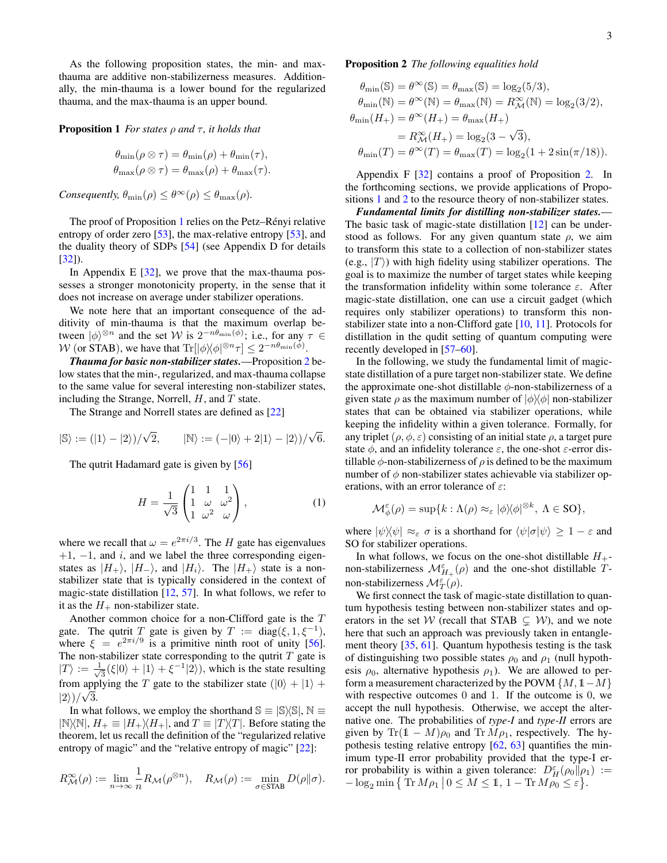As the following proposition states, the min- and maxthauma are additive non-stabilizerness measures. Additionally, the min-thauma is a lower bound for the regularized thauma, and the max-thauma is an upper bound.

<span id="page-4-0"></span>**Proposition 1** *For states*  $\rho$  *and*  $\tau$ *, it holds that* 

$$
\theta_{\min}(\rho \otimes \tau) = \theta_{\min}(\rho) + \theta_{\min}(\tau),
$$
  

$$
\theta_{\max}(\rho \otimes \tau) = \theta_{\max}(\rho) + \theta_{\max}(\tau).
$$

*Consequently,*  $\theta_{\min}(\rho) \leq \theta^{\infty}(\rho) \leq \theta_{\max}(\rho)$ *.* 

The proof of Proposition [1](#page-4-0) relies on the Petz–Rényi relative entropy of order zero [\[53\]](#page-7-17), the max-relative entropy [53], and the duality theory of SDPs [\[54\]](#page-7-18) (see Appendix D for details [\[32\]](#page-6-23)).

In Appendix E  $[32]$ , we prove that the max-thauma possesses a stronger monotonicity property, in the sense that it does not increase on average under stabilizer operations.

We note here that an important consequence of the additivity of min-thauma is that the maximum overlap between  $|\phi\rangle^{\otimes n}$  and the set W is  $2^{-n\theta_{\min}(\phi)}$ ; i.e., for any  $\tau \in$ W (or STAB), we have that  $\text{Tr} [|\phi\rangle\langle\phi|^{\otimes n} \tau] \leq 2^{-n\theta_{\text{min}}(\phi)}$ .

*Thauma for basic non-stabilizer states.*—Proposition [2](#page-4-1) below states that the min-, regularized, and max-thauma collapse to the same value for several interesting non-stabilizer states, including the Strange, Norrell,  $H$ , and  $T$  state.

The Strange and Norrell states are defined as [\[22\]](#page-6-15)

$$
|\mathbb{S}\rangle := (|1\rangle - |2\rangle)/\sqrt{2}, \qquad |\mathbb{N}\rangle := (-|0\rangle + 2|1\rangle - |2\rangle)/\sqrt{6}.
$$

The qutrit Hadamard gate is given by [\[56\]](#page-7-20)

$$
H = \frac{1}{\sqrt{3}} \begin{pmatrix} 1 & 1 & 1 \\ 1 & \omega & \omega^2 \\ 1 & \omega^2 & \omega \end{pmatrix},
$$
 (1)

where we recall that  $\omega = e^{2\pi i/3}$ . The H gate has eigenvalues  $+1$ ,  $-1$ , and *i*, and we label the three corresponding eigenstates as  $|H_+\rangle$ ,  $|H_-\rangle$ , and  $|H_i\rangle$ . The  $|H_+\rangle$  state is a nonstabilizer state that is typically considered in the context of magic-state distillation [\[12,](#page-6-10) [57\]](#page-7-21). In what follows, we refer to it as the  $H_+$  non-stabilizer state.

Another common choice for a non-Clifford gate is the T gate. The qutrit T gate is given by  $T := diag(\xi, 1, \xi^{-1})$ , where  $\xi = e^{2\pi i/9}$  is a primitive ninth root of unity [\[56\]](#page-7-20). The non-stabilizer state corresponding to the qutrit  $T$  gate is  $|T\rangle := \frac{1}{\sqrt{2}}$  $\frac{1}{3}(\xi|0\rangle + |1\rangle + \xi^{-1}|2\rangle)$ , which is the state resulting from applying the T gate to the stabilizer state  $(|0\rangle + |1\rangle +$  $|2\rangle)/\sqrt{3}$ .

In what follows, we employ the shorthand  $\mathbb{S} \equiv |\mathbb{S} \setminus \mathbb{S}|$ ,  $\mathbb{N} \equiv$  $|N\rangle\langle N|, H_{+} \equiv |H_{+}\rangle\langle H_{+}|$ , and  $T \equiv |T\rangle\langle T|$ . Before stating the theorem, let us recall the definition of the "regularized relative entropy of magic" and the "relative entropy of magic" [\[22\]](#page-6-15):

<span id="page-4-1"></span>
$$
R_{\mathcal{M}}^{\infty}(\rho) := \lim_{n \to \infty} \frac{1}{n} R_{\mathcal{M}}(\rho^{\otimes n}), \quad R_{\mathcal{M}}(\rho) := \min_{\sigma \in \text{STAB}} D(\rho || \sigma).
$$

Proposition 2 *The following equalities hold*

$$
\theta_{\min}(\mathbb{S}) = \theta^{\infty}(\mathbb{S}) = \theta_{\max}(\mathbb{S}) = \log_2(5/3),
$$
  
\n
$$
\theta_{\min}(\mathbb{N}) = \theta^{\infty}(\mathbb{N}) = \theta_{\max}(\mathbb{N}) = R_{\mathcal{M}}^{\infty}(\mathbb{N}) = \log_2(3/2),
$$
  
\n
$$
\theta_{\min}(H_{+}) = \theta^{\infty}(H_{+}) = \theta_{\max}(H_{+})
$$
  
\n
$$
= R_{\mathcal{M}}^{\infty}(H_{+}) = \log_2(3 - \sqrt{3}),
$$
  
\n
$$
\theta_{\min}(T) = \theta^{\infty}(T) = \theta_{\max}(T) = \log_2(1 + 2\sin(\pi/18)).
$$

Appendix F [\[32\]](#page-6-23) contains a proof of Proposition [2.](#page-4-1) In the forthcoming sections, we provide applications of Propositions [1](#page-4-0) and [2](#page-4-1) to the resource theory of non-stabilizer states.

*Fundamental limits for distilling non-stabilizer states.*— The basic task of magic-state distillation [\[12\]](#page-6-10) can be understood as follows. For any given quantum state  $\rho$ , we aim to transform this state to a collection of non-stabilizer states (e.g.,  $|T\rangle$ ) with high fidelity using stabilizer operations. The goal is to maximize the number of target states while keeping the transformation infidelity within some tolerance  $\varepsilon$ . After magic-state distillation, one can use a circuit gadget (which requires only stabilizer operations) to transform this nonstabilizer state into a non-Clifford gate [\[10,](#page-6-8) [11\]](#page-6-9). Protocols for distillation in the qudit setting of quantum computing were recently developed in [\[57](#page-7-21)[–60\]](#page-7-22).

In the following, we study the fundamental limit of magicstate distillation of a pure target non-stabilizer state. We define the approximate one-shot distillable  $\phi$ -non-stabilizerness of a given state  $\rho$  as the maximum number of  $|\phi\rangle\langle\phi|$  non-stabilizer states that can be obtained via stabilizer operations, while keeping the infidelity within a given tolerance. Formally, for any triplet ( $\rho$ ,  $\phi$ ,  $\varepsilon$ ) consisting of an initial state  $\rho$ , a target pure state  $\phi$ , and an infidelity tolerance  $\varepsilon$ , the one-shot  $\varepsilon$ -error distillable  $\phi$ -non-stabilizerness of  $\rho$  is defined to be the maximum number of  $\phi$  non-stabilizer states achievable via stabilizer operations, with an error tolerance of  $\varepsilon$ :

$$
\mathcal{M}_{\phi}^{\varepsilon}(\rho) = \sup\{k : \Lambda(\rho) \approx_{\varepsilon} |\phi\rangle\langle\phi|^{\otimes k}, \ \Lambda \in \text{SO}\},
$$

where  $|\psi\rangle\langle\psi| \approx_{\varepsilon} \sigma$  is a shorthand for  $\langle \psi|\sigma|\psi\rangle \geq 1 - \varepsilon$  and SO for stabilizer operations.

In what follows, we focus on the one-shot distillable  $H_+$ non-stabilizerness  $\mathcal{M}_{H_+}^{\varepsilon}(\rho)$  and the one-shot distillable Tnon-stabilizerness  $\mathcal{M}_T^{\varepsilon}(\rho)$ .

<span id="page-4-2"></span>We first connect the task of magic-state distillation to quantum hypothesis testing between non-stabilizer states and operators in the set W (recall that STAB  $\subsetneq$  W), and we note here that such an approach was previously taken in entanglement theory [\[35,](#page-7-2) [61\]](#page-7-23). Quantum hypothesis testing is the task of distinguishing two possible states  $\rho_0$  and  $\rho_1$  (null hypothesis  $\rho_0$ , alternative hypothesis  $\rho_1$ ). We are allowed to perform a measurement characterized by the POVM  $\{M, 1-M\}$ with respective outcomes 0 and 1. If the outcome is 0, we accept the null hypothesis. Otherwise, we accept the alternative one. The probabilities of *type-I* and *type-II* errors are given by Tr(1 – M) $\rho_0$  and Tr  $M \rho_1$ , respectively. The hypothesis testing relative entropy  $[62, 63]$  $[62, 63]$  $[62, 63]$  quantifies the minimum type-II error probability provided that the type-I error probability is within a given tolerance:  $D_H^{\epsilon}(\rho_0 || \rho_1)$  :=  $-\log_2 \min\left\{\operatorname{Tr} M\rho_1 \middle| 0 \leq M \leq 1, 1 - \operatorname{Tr} M\rho_0 \leq \varepsilon\right\}.$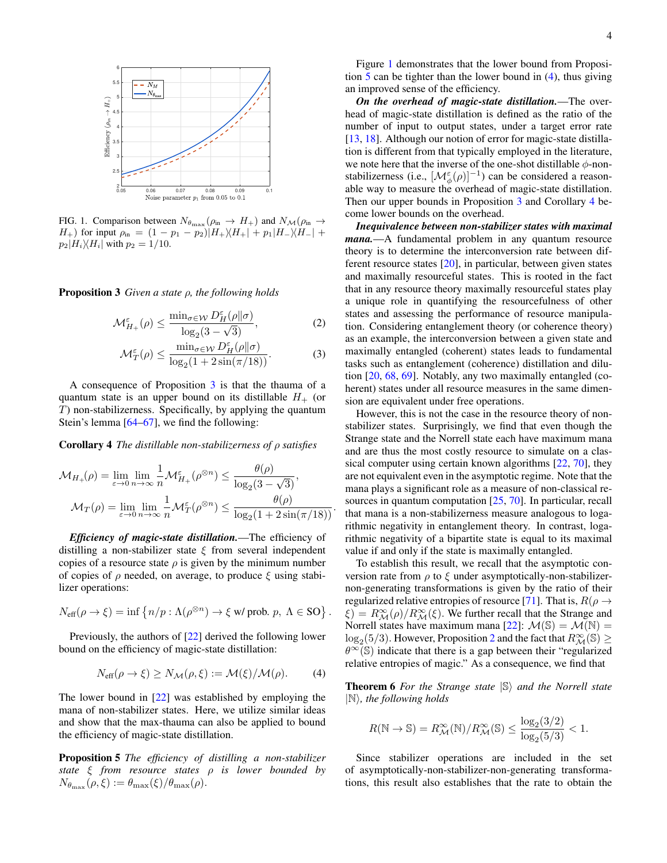

<span id="page-5-0"></span>FIG. 1. Comparison between  $N_{\theta_{\text{max}}}(\rho_{\text{in}} \rightarrow H_+)$  and  $N_{\mathcal{M}}(\rho_{\text{in}} \rightarrow$  $H_{+}$ ) for input  $\rho_{\text{in}} = (1 - p_1 - p_2)|H_{+}\rangle\langle H_{+}| + p_1|H_{-}\rangle\langle H_{-}| +$  $p_2|H_i\rangle\langle H_i|$  with  $p_2 = 1/10$ .

Proposition 3 *Given a state* ρ*, the following holds*

$$
\mathcal{M}^{\varepsilon}_{H_{+}}(\rho) \le \frac{\min_{\sigma \in \mathcal{W}} D^{\varepsilon}_{H}(\rho || \sigma)}{\log_{2}(3 - \sqrt{3})},\tag{2}
$$

$$
\mathcal{M}_T^{\varepsilon}(\rho) \le \frac{\min_{\sigma \in \mathcal{W}} D_H^{\varepsilon}(\rho || \sigma)}{\log_2(1 + 2\sin(\pi/18))}.
$$
 (3)

A consequence of Proposition [3](#page-4-2) is that the thauma of a quantum state is an upper bound on its distillable  $H_+$  (or T) non-stabilizerness. Specifically, by applying the quantum Stein's lemma [\[64–](#page-7-26)[67\]](#page-7-27), we find the following:

Corollary 4 *The distillable non-stabilizerness of* ρ *satisfies*

$$
\mathcal{M}_{H_{+}}(\rho) = \lim_{\varepsilon \to 0} \lim_{n \to \infty} \frac{1}{n} \mathcal{M}_{H_{+}}^{\varepsilon}(\rho^{\otimes n}) \le \frac{\theta(\rho)}{\log_{2}(3 - \sqrt{3})},
$$

$$
\mathcal{M}_{T}(\rho) = \lim_{\varepsilon \to 0} \lim_{n \to \infty} \frac{1}{n} \mathcal{M}_{T}^{\varepsilon}(\rho^{\otimes n}) \le \frac{\theta(\rho)}{\log_{2}(1 + 2\sin(\pi/18))}.
$$

*Efficiency of magic-state distillation.*—The efficiency of distilling a non-stabilizer state  $\xi$  from several independent copies of a resource state  $\rho$  is given by the minimum number of copies of  $\rho$  needed, on average, to produce  $\xi$  using stabilizer operations:

<span id="page-5-2"></span>
$$
N_{\text{eff}}(\rho \to \xi) = \inf \left\{ n/p : \Lambda(\rho^{\otimes n}) \to \xi \text{ w/prob. } p, \ \Lambda \in \text{SO} \right\}.
$$

Previously, the authors of [\[22\]](#page-6-15) derived the following lower bound on the efficiency of magic-state distillation:

$$
N_{\text{eff}}(\rho \to \xi) \ge N_{\mathcal{M}}(\rho, \xi) := \mathcal{M}(\xi) / \mathcal{M}(\rho). \tag{4}
$$

The lower bound in [\[22\]](#page-6-15) was established by employing the mana of non-stabilizer states. Here, we utilize similar ideas and show that the max-thauma can also be applied to bound the efficiency of magic-state distillation.

Proposition 5 *The efficiency of distilling a non-stabilizer state* ξ *from resource states* ρ *is lower bounded by*  $N_{\theta_{\text{max}}}(\rho, \xi) := \theta_{\text{max}}(\xi)/\theta_{\text{max}}(\rho).$ 

Figure [1](#page-5-0) demonstrates that the lower bound from Proposition [5](#page-5-1) can be tighter than the lower bound in [\(4\)](#page-5-2), thus giving an improved sense of the efficiency.

*On the overhead of magic-state distillation.*—The overhead of magic-state distillation is defined as the ratio of the number of input to output states, under a target error rate [\[13,](#page-6-11) [18\]](#page-6-24). Although our notion of error for magic-state distillation is different from that typically employed in the literature, we note here that the inverse of the one-shot distillable  $\phi$ -nonstabilizerness (i.e.,  $[\mathcal{M}_{\phi}^{\varepsilon}(\rho)]^{-1}$ ) can be considered a reasonable way to measure the overhead of magic-state distillation. Then our upper bounds in Proposition [3](#page-4-2) and Corollary [4](#page-5-3) become lower bounds on the overhead.

*Inequivalence between non-stabilizer states with maximal mana.*—A fundamental problem in any quantum resource theory is to determine the interconversion rate between different resource states [\[20\]](#page-6-13), in particular, between given states and maximally resourceful states. This is rooted in the fact that in any resource theory maximally resourceful states play a unique role in quantifying the resourcefulness of other states and assessing the performance of resource manipulation. Considering entanglement theory (or coherence theory) as an example, the interconversion between a given state and maximally entangled (coherent) states leads to fundamental tasks such as entanglement (coherence) distillation and dilution [\[20,](#page-6-13) [68,](#page-7-28) [69\]](#page-7-29). Notably, any two maximally entangled (coherent) states under all resource measures in the same dimension are equivalent under free operations.

<span id="page-5-3"></span>However, this is not the case in the resource theory of nonstabilizer states. Surprisingly, we find that even though the Strange state and the Norrell state each have maximum mana and are thus the most costly resource to simulate on a clas-sical computer using certain known algorithms [\[22,](#page-6-15) [70\]](#page-7-30), they are not equivalent even in the asymptotic regime. Note that the mana plays a significant role as a measure of non-classical resources in quantum computation [\[25,](#page-6-18) [70\]](#page-7-30). In particular, recall that mana is a non-stabilizerness measure analogous to logarithmic negativity in entanglement theory. In contrast, logarithmic negativity of a bipartite state is equal to its maximal value if and only if the state is maximally entangled.

To establish this result, we recall that the asymptotic conversion rate from  $\rho$  to  $\xi$  under asymptotically-non-stabilizernon-generating transformations is given by the ratio of their regularized relative entropies of resource [\[71\]](#page-7-31). That is,  $R(\rho \rightarrow$  $\zeta$ ) =  $R_{\mathcal{M}}^{\infty}(\rho)/R_{\mathcal{M}}^{\infty}(\xi)$ . We further recall that the Strange and Norrell states have maximum mana [\[22\]](#page-6-15):  $\mathcal{M}(\mathbb{S}) = \mathcal{M}(\mathbb{N}) =$  $\log_2(5/3)$  $\log_2(5/3)$  $\log_2(5/3)$ . However, Proposition 2 and the fact that  $R^{\infty}_{\mathcal{M}}(\mathbb{S}) \geq$  $\theta^{\infty}(\mathbb{S})$  indicate that there is a gap between their "regularized" relative entropies of magic." As a consequence, we find that

<span id="page-5-4"></span>**Theorem 6** For the Strange state  $|\mathbb{S}\rangle$  and the Norrell state  $|N\rangle$ *, the following holds* 

$$
R(\mathbb{N} \to \mathbb{S}) = R_{\mathcal{M}}^{\infty}(\mathbb{N}) / R_{\mathcal{M}}^{\infty}(\mathbb{S}) \le \frac{\log_2(3/2)}{\log_2(5/3)} < 1.
$$

<span id="page-5-1"></span>Since stabilizer operations are included in the set of asymptotically-non-stabilizer-non-generating transformations, this result also establishes that the rate to obtain the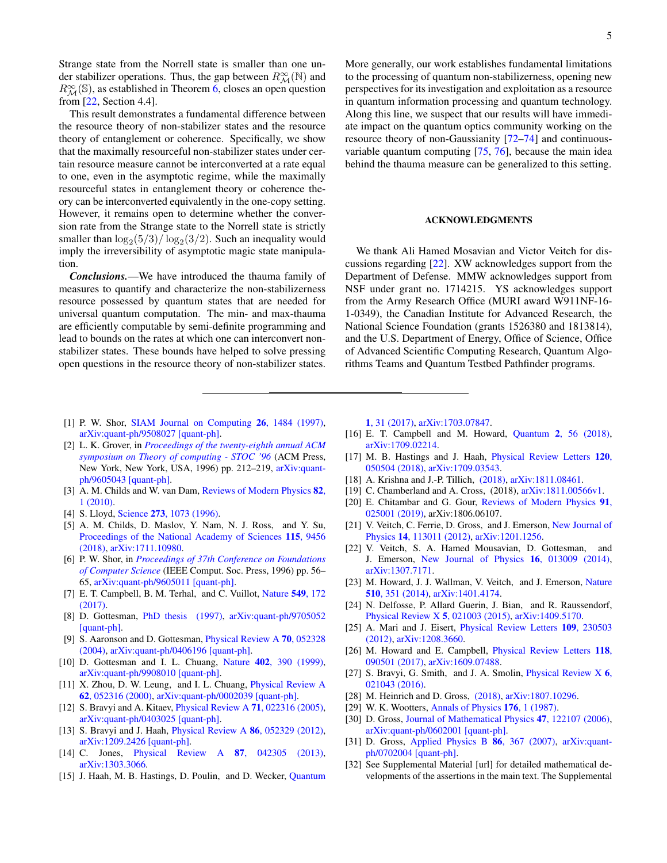Strange state from the Norrell state is smaller than one under stabilizer operations. Thus, the gap between  $R^{\infty}_{\mathcal{M}}(\mathbb{N})$  and  $R_{\mathcal{M}}^{\infty}(\mathbb{S})$ , as established in Theorem [6,](#page-5-4) closes an open question from [\[22,](#page-6-15) Section 4.4].

This result demonstrates a fundamental difference between the resource theory of non-stabilizer states and the resource theory of entanglement or coherence. Specifically, we show that the maximally resourceful non-stabilizer states under certain resource measure cannot be interconverted at a rate equal to one, even in the asymptotic regime, while the maximally resourceful states in entanglement theory or coherence theory can be interconverted equivalently in the one-copy setting. However, it remains open to determine whether the conversion rate from the Strange state to the Norrell state is strictly smaller than  $\log_2(5/3)/\log_2(3/2)$ . Such an inequality would imply the irreversibility of asymptotic magic state manipulation.

*Conclusions.*—We have introduced the thauma family of measures to quantify and characterize the non-stabilizerness resource possessed by quantum states that are needed for universal quantum computation. The min- and max-thauma are efficiently computable by semi-definite programming and lead to bounds on the rates at which one can interconvert nonstabilizer states. These bounds have helped to solve pressing open questions in the resource theory of non-stabilizer states.

- <span id="page-6-0"></span>[1] P. W. Shor, [SIAM Journal on Computing](http://dx.doi.org/10.1137/S0097539795293172) 26, 1484 (1997), [arXiv:quant-ph/9508027 \[quant-ph\].](http://arxiv.org/abs/quant-ph/9508027)
- [2] L. K. Grover, in *[Proceedings of the twenty-eighth annual ACM](http://dx.doi.org/10.1145/237814.237866) [symposium on Theory of computing - STOC '96](http://dx.doi.org/10.1145/237814.237866)* (ACM Press, New York, New York, USA, 1996) pp. 212–219, [arXiv:quant](http://arxiv.org/abs/quant-ph/9605043)[ph/9605043 \[quant-ph\].](http://arxiv.org/abs/quant-ph/9605043)
- <span id="page-6-1"></span>[3] A. M. Childs and W. van Dam, [Reviews of Modern Physics](http://dx.doi.org/10.1103/RevModPhys.82.1) 82, [1 \(2010\).](http://dx.doi.org/10.1103/RevModPhys.82.1)
- <span id="page-6-2"></span>[4] S. Lloyd, Science 273[, 1073 \(1996\).](http://dx.doi.org/10.1126/science.273.5278.1073)
- <span id="page-6-3"></span>[5] A. M. Childs, D. Maslov, Y. Nam, N. J. Ross, and Y. Su, [Proceedings of the National Academy of Sciences](http://dx.doi.org/ 10.1073/pnas.1801723115) 115, 9456 [\(2018\),](http://dx.doi.org/ 10.1073/pnas.1801723115) [arXiv:1711.10980.](http://arxiv.org/abs/1711.10980)
- <span id="page-6-4"></span>[6] P. W. Shor, in *[Proceedings of 37th Conference on Foundations](http://dx.doi.org/10.1109/SFCS.1996.548464) [of Computer Science](http://dx.doi.org/10.1109/SFCS.1996.548464)* (IEEE Comput. Soc. Press, 1996) pp. 56– 65, [arXiv:quant-ph/9605011 \[quant-ph\].](http://arxiv.org/abs/quant-ph/9605011)
- <span id="page-6-5"></span>[7] E. T. Campbell, B. M. Terhal, and C. Vuillot, [Nature](http://dx.doi.org/10.1038/nature23460) 549, 172 [\(2017\).](http://dx.doi.org/10.1038/nature23460)
- <span id="page-6-6"></span>[8] D. Gottesman, [PhD thesis \(1997\),](http://arxiv.org/abs/quant-ph/9705052) [arXiv:quant-ph/9705052](http://arxiv.org/abs/quant-ph/9705052) [\[quant-ph\].](http://arxiv.org/abs/quant-ph/9705052)
- <span id="page-6-7"></span>[9] S. Aaronson and D. Gottesman, [Physical Review A](http://dx.doi.org/10.1103/PhysRevA.70.052328) 70, 052328 [\(2004\),](http://dx.doi.org/10.1103/PhysRevA.70.052328) [arXiv:quant-ph/0406196 \[quant-ph\].](http://arxiv.org/abs/quant-ph/0406196)
- <span id="page-6-8"></span>[10] D. Gottesman and I. L. Chuang, Nature 402[, 390 \(1999\),](http://dx.doi.org/10.1038/46503) [arXiv:quant-ph/9908010 \[quant-ph\].](http://arxiv.org/abs/quant-ph/9908010)
- <span id="page-6-9"></span>[11] X. Zhou, D. W. Leung, and I. L. Chuang, *[Physical Review A](http://dx.doi.org/10.1103/PhysRevA.62.052316)* 62[, 052316 \(2000\),](http://dx.doi.org/10.1103/PhysRevA.62.052316) [arXiv:quant-ph/0002039 \[quant-ph\].](http://arxiv.org/abs/quant-ph/0002039)
- <span id="page-6-10"></span>[12] S. Bravyi and A. Kitaev, [Physical Review A](http://dx.doi.org/10.1103/PhysRevA.71.022316) 71, 022316 (2005), [arXiv:quant-ph/0403025 \[quant-ph\].](http://arxiv.org/abs/quant-ph/0403025)
- <span id="page-6-11"></span>[13] S. Bravyi and J. Haah, [Physical Review A](http://dx.doi.org/10.1103/PhysRevA.86.052329) 86, 052329 (2012), [arXiv:1209.2426 \[quant-ph\].](http://arxiv.org/abs/1209.2426)
- [14] C. Jones, [Physical Review A](http://dx.doi.org/10.1103/PhysRevA.87.042305) **87**, 042305 (2013), [arXiv:1303.3066.](http://arxiv.org/abs/1303.3066)
- [15] J. Haah, M. B. Hastings, D. Poulin, and D. Wecker, [Quantum](http://dx.doi.org/ 10.22331/q-2017-10-03-31)

5

More generally, our work establishes fundamental limitations to the processing of quantum non-stabilizerness, opening new perspectives for its investigation and exploitation as a resource in quantum information processing and quantum technology. Along this line, we suspect that our results will have immediate impact on the quantum optics community working on the resource theory of non-Gaussianity [\[72–](#page-7-32)[74\]](#page-7-33) and continuousvariable quantum computing [\[75,](#page-7-34) [76\]](#page-7-35), because the main idea behind the thauma measure can be generalized to this setting.

#### ACKNOWLEDGMENTS

We thank Ali Hamed Mosavian and Victor Veitch for discussions regarding [\[22\]](#page-6-15). XW acknowledges support from the Department of Defense. MMW acknowledges support from NSF under grant no. 1714215. YS acknowledges support from the Army Research Office (MURI award W911NF-16- 1-0349), the Canadian Institute for Advanced Research, the National Science Foundation (grants 1526380 and 1813814), and the U.S. Department of Energy, Office of Science, Office of Advanced Scientific Computing Research, Quantum Algorithms Teams and Quantum Testbed Pathfinder programs.

1[, 31 \(2017\),](http://dx.doi.org/ 10.22331/q-2017-10-03-31) [arXiv:1703.07847.](http://arxiv.org/abs/1703.07847)

- [16] E. T. Campbell and M. Howard, Quantum 2[, 56 \(2018\),](http://dx.doi.org/10.22331/q-2018-03-14-56) [arXiv:1709.02214.](http://arxiv.org/abs/1709.02214)
- [17] M. B. Hastings and J. Haah, *[Physical Review Letters](http://dx.doi.org/10.1103/PhysRevLett.120.050504)* 120, [050504 \(2018\),](http://dx.doi.org/10.1103/PhysRevLett.120.050504) [arXiv:1709.03543.](http://arxiv.org/abs/1709.03543)
- <span id="page-6-24"></span>[18] A. Krishna and J.-P. Tillich, [\(2018\),](http://arxiv.org/abs/1811.08461) [arXiv:1811.08461.](http://arxiv.org/abs/1811.08461)
- <span id="page-6-12"></span>[19] C. Chamberland and A. Cross, (2018), [arXiv:1811.00566v1.](http://arxiv.org/abs/1811.00566v1)
- <span id="page-6-13"></span>[20] E. Chitambar and G. Gour, [Reviews of Modern Physics](http://dx.doi.org/10.1103/RevModPhys.91.025001) 91, [025001 \(2019\),](http://dx.doi.org/10.1103/RevModPhys.91.025001) arXiv:1806.06107.
- <span id="page-6-14"></span>[21] V. Veitch, C. Ferrie, D. Gross, and J. Emerson, [New Journal of](http://dx.doi.org/ 10.1088/1367-2630/14/11/113011) Physics 14[, 113011 \(2012\),](http://dx.doi.org/ 10.1088/1367-2630/14/11/113011) [arXiv:1201.1256.](http://arxiv.org/abs/1201.1256)
- <span id="page-6-15"></span>[22] V. Veitch, S. A. Hamed Mousavian, D. Gottesman, and J. Emerson, [New Journal of Physics](http://dx.doi.org/10.1088/1367-2630/16/1/013009) 16, 013009 (2014), [arXiv:1307.7171.](http://arxiv.org/abs/1307.7171)
- <span id="page-6-16"></span>[23] M. Howard, J. J. Wallman, V. Veitch, and J. Emerson, [Nature](http://dx.doi.org/ 10.1038/nature13460) 510[, 351 \(2014\),](http://dx.doi.org/ 10.1038/nature13460) [arXiv:1401.4174.](http://arxiv.org/abs/1401.4174)
- <span id="page-6-17"></span>[24] N. Delfosse, P. Allard Guerin, J. Bian, and R. Raussendorf, [Physical Review X](http://dx.doi.org/10.1103/PhysRevX.5.021003) 5, 021003 (2015), [arXiv:1409.5170.](http://arxiv.org/abs/1409.5170)
- <span id="page-6-18"></span>[25] A. Mari and J. Eisert, [Physical Review Letters](http://dx.doi.org/10.1103/PhysRevLett.109.230503) 109, 230503 [\(2012\),](http://dx.doi.org/10.1103/PhysRevLett.109.230503) [arXiv:1208.3660.](http://arxiv.org/abs/1208.3660)
- <span id="page-6-19"></span>[26] M. Howard and E. Campbell, *[Physical Review Letters](http://dx.doi.org/10.1103/PhysRevLett.118.090501)* 118, [090501 \(2017\),](http://dx.doi.org/10.1103/PhysRevLett.118.090501) [arXiv:1609.07488.](http://arxiv.org/abs/1609.07488)
- [27] S. Bravyi, G. Smith, and J. A. Smolin, *[Physical Review X](http://dx.doi.org/10.1103/PhysRevX.6.021043) 6*, [021043 \(2016\).](http://dx.doi.org/10.1103/PhysRevX.6.021043)
- <span id="page-6-20"></span>[28] M. Heinrich and D. Gross, [\(2018\),](http://arxiv.org/abs/1807.10296) [arXiv:1807.10296.](http://arxiv.org/abs/1807.10296)
- <span id="page-6-21"></span>[29] W. K. Wootters, [Annals of Physics](http://dx.doi.org/10.1016/0003-4916(87)90176-X) 176, 1 (1987).
- [30] D. Gross, [Journal of Mathematical Physics](http://dx.doi.org/10.1063/1.2393152) 47, 122107 (2006), [arXiv:quant-ph/0602001 \[quant-ph\].](http://arxiv.org/abs/quant-ph/0602001)
- <span id="page-6-22"></span>[31] D. Gross, [Applied Physics B](http://dx.doi.org/10.1007/s00340-006-2510-9) 86, 367 (2007), [arXiv:quant](http://arxiv.org/abs/quant-ph/0702004)[ph/0702004 \[quant-ph\].](http://arxiv.org/abs/quant-ph/0702004)
- <span id="page-6-23"></span>[32] See Supplemental Material [url] for detailed mathematical developments of the assertions in the main text. The Supplemental